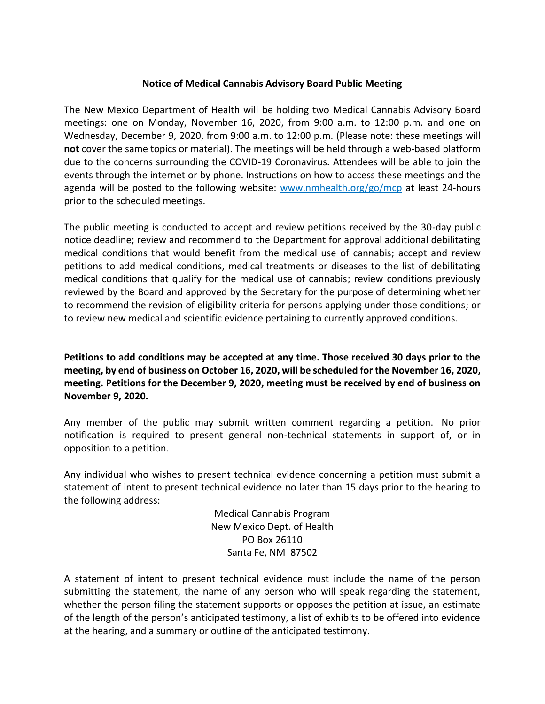## **Notice of Medical Cannabis Advisory Board Public Meeting**

The New Mexico Department of Health will be holding two Medical Cannabis Advisory Board meetings: one on Monday, November 16, 2020, from 9:00 a.m. to 12:00 p.m. and one on Wednesday, December 9, 2020, from 9:00 a.m. to 12:00 p.m. (Please note: these meetings will **not** cover the same topics or material). The meetings will be held through a web-based platform due to the concerns surrounding the COVID-19 Coronavirus. Attendees will be able to join the events through the internet or by phone. Instructions on how to access these meetings and the agenda will be posted to the following website:  $www.nmhealth.org/go/mcp$  at least 24-hours prior to the scheduled meetings.

The public meeting is conducted to accept and review petitions received by the 30-day public notice deadline; review and recommend to the Department for approval additional debilitating medical conditions that would benefit from the medical use of cannabis; accept and review petitions to add medical conditions, medical treatments or diseases to the list of debilitating medical conditions that qualify for the medical use of cannabis; review conditions previously reviewed by the Board and approved by the Secretary for the purpose of determining whether to recommend the revision of eligibility criteria for persons applying under those conditions; or to review new medical and scientific evidence pertaining to currently approved conditions.

**Petitions to add conditions may be accepted at any time. Those received 30 days prior to the meeting, by end of business on October 16, 2020, will be scheduled for the November 16, 2020, meeting. Petitions for the December 9, 2020, meeting must be received by end of business on November 9, 2020.**

Any member of the public may submit written comment regarding a petition. No prior notification is required to present general non-technical statements in support of, or in opposition to a petition.

Any individual who wishes to present technical evidence concerning a petition must submit a statement of intent to present technical evidence no later than 15 days prior to the hearing to the following address:

> Medical Cannabis Program New Mexico Dept. of Health PO Box 26110 Santa Fe, NM 87502

A statement of intent to present technical evidence must include the name of the person submitting the statement, the name of any person who will speak regarding the statement, whether the person filing the statement supports or opposes the petition at issue, an estimate of the length of the person's anticipated testimony, a list of exhibits to be offered into evidence at the hearing, and a summary or outline of the anticipated testimony.